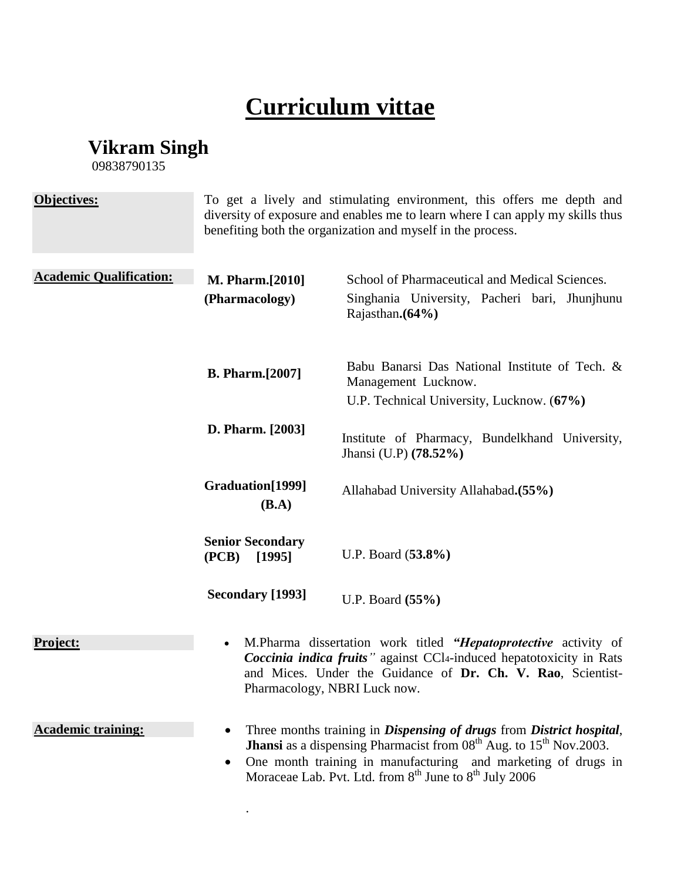## **Curriculum vittae**

**Vikram Singh**

09838790135

| Objectives:                    | To get a lively and stimulating environment, this offers me depth and<br>diversity of exposure and enables me to learn where I can apply my skills thus<br>benefiting both the organization and myself in the process.                                                                                                       |                                                                                                                     |
|--------------------------------|------------------------------------------------------------------------------------------------------------------------------------------------------------------------------------------------------------------------------------------------------------------------------------------------------------------------------|---------------------------------------------------------------------------------------------------------------------|
| <b>Academic Qualification:</b> | <b>M. Pharm.</b> [2010]<br>(Pharmacology)                                                                                                                                                                                                                                                                                    | School of Pharmaceutical and Medical Sciences.<br>Singhania University, Pacheri bari, Jhunjhunu<br>Rajasthan. (64%) |
|                                | <b>B. Pharm.</b> [2007]                                                                                                                                                                                                                                                                                                      | Babu Banarsi Das National Institute of Tech. &<br>Management Lucknow.<br>U.P. Technical University, Lucknow. (67%)  |
|                                | D. Pharm. [2003]                                                                                                                                                                                                                                                                                                             | Institute of Pharmacy, Bundelkhand University,<br>Jhansi (U.P) (78.52%)                                             |
|                                | Graduation[1999]<br>(B.A)                                                                                                                                                                                                                                                                                                    | Allahabad University Allahabad. (55%)                                                                               |
|                                | <b>Senior Secondary</b><br>(PCB)<br>[1995]                                                                                                                                                                                                                                                                                   | U.P. Board (53.8%)                                                                                                  |
|                                | <b>Secondary [1993]</b>                                                                                                                                                                                                                                                                                                      | U.P. Board (55%)                                                                                                    |
| Project:                       | M.Pharma dissertation work titled "Hepatoprotective activity of<br>$\bullet$<br><i>Coccinia indica fruits</i> " against CCl <sub>4</sub> -induced hepatotoxicity in Rats<br>and Mices. Under the Guidance of Dr. Ch. V. Rao, Scientist-<br>Pharmacology, NBRI Luck now.                                                      |                                                                                                                     |
| <b>Academic training:</b>      | Three months training in Dispensing of drugs from District hospital,<br><b>Jhansi</b> as a dispensing Pharmacist from 08 <sup>th</sup> Aug. to 15 <sup>th</sup> Nov.2003.<br>One month training in manufacturing and marketing of drugs in<br>Moraceae Lab. Pvt. Ltd. from 8 <sup>th</sup> June to 8 <sup>th</sup> July 2006 |                                                                                                                     |

.